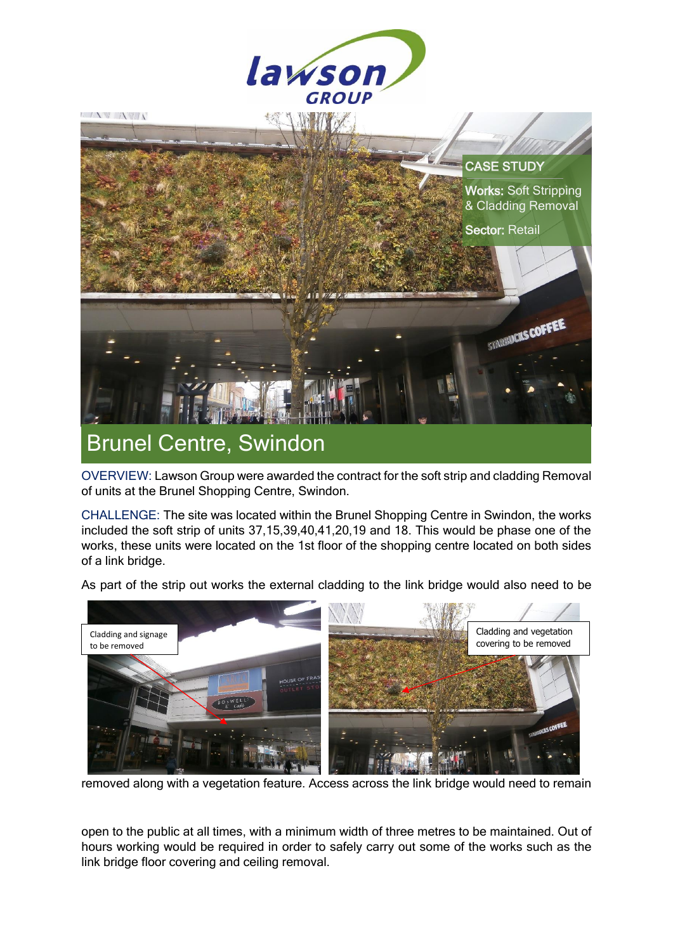

OVERVIEW: Lawson Group were awarded the contract for the soft strip and cladding Removal of units at the Brunel Shopping Centre, Swindon.

CHALLENGE: The site was located within the Brunel Shopping Centre in Swindon, the works included the soft strip of units 37,15,39,40,41,20,19 and 18. This would be phase one of the works, these units were located on the 1st floor of the shopping centre located on both sides of a link bridge.

As part of the strip out works the external cladding to the link bridge would also need to be



removed along with a vegetation feature. Access across the link bridge would need to remain

open to the public at all times, with a minimum width of three metres to be maintained. Out of hours working would be required in order to safely carry out some of the works such as the link bridge floor covering and ceiling removal.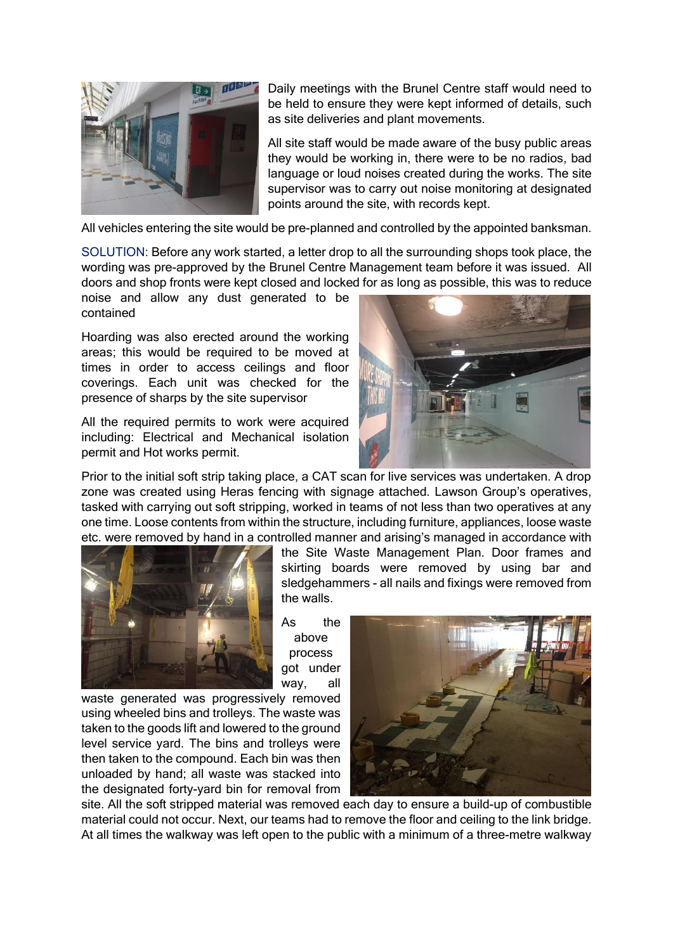

Daily meetings with the Brunel Centre staff would need to be held to ensure they were kept informed of details, such as site deliveries and plant movements.

All site staff would be made aware of the busy public areas they would be working in, there were to be no radios, bad language or loud noises created during the works. The site supervisor was to carry out noise monitoring at designated points around the site, with records kept.

All vehicles entering the site would be pre-planned and controlled by the appointed banksman.

SOLUTION: Before any work started, a letter drop to all the surrounding shops took place, the wording was pre-approved by the Brunel Centre Management team before it was issued. All doors and shop fronts were kept closed and locked for as long as possible, this was to reduce

noise and allow any dust generated to be contained

Hoarding was also erected around the working areas; this would be required to be moved at times in order to access ceilings and floor coverings. Each unit was checked for the presence of sharps by the site supervisor

All the required permits to work were acquired including: Electrical and Mechanical isolation permit and Hot works permit.



Prior to the initial soft strip taking place, a CAT scan for live services was undertaken. A drop zone was created using Heras fencing with signage attached. Lawson Group's operatives, tasked with carrying out soft stripping, worked in teams of not less than two operatives at any one time. Loose contents from within the structure, including furniture, appliances, loose waste etc. were removed by hand in a controlled manner and arising's managed in accordance with



the Site Waste Management Plan. Door frames and skirting boards were removed by using bar and sledgehammers - all nails and fixings were removed from the walls.

As the above process got under way, all

waste generated was progressively removed using wheeled bins and trolleys. The waste was taken to the goods lift and lowered to the ground level service yard. The bins and trolleys were then taken to the compound. Each bin was then unloaded by hand; all waste was stacked into the designated forty-yard bin for removal from



site. All the soft stripped material was removed each day to ensure a build-up of combustible material could not occur. Next, our teams had to remove the floor and ceiling to the link bridge. At all times the walkway was left open to the public with a minimum of a three-metre walkway